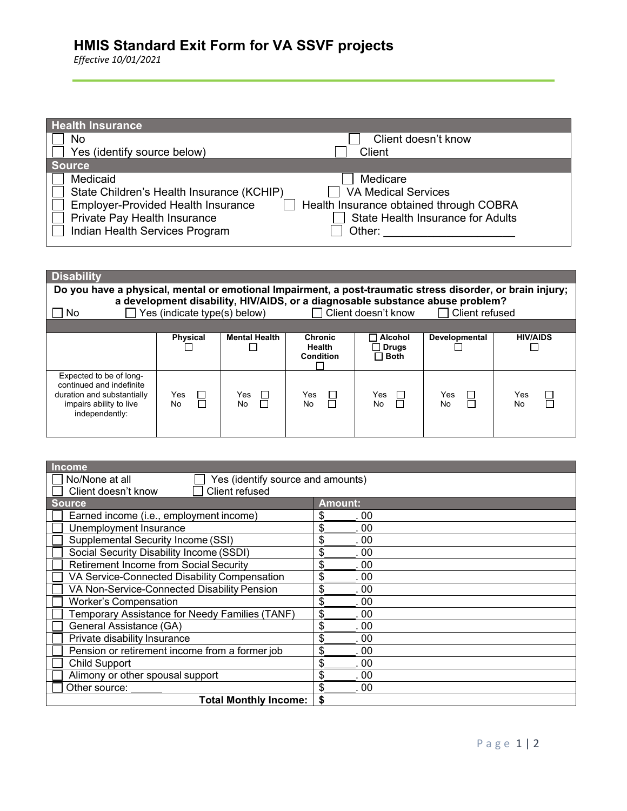## **HMIS Standard Exit Form for VA SSVF projects**

*Effective 10/01/2021*

| <b>Health Insurance</b>                                   |                                          |
|-----------------------------------------------------------|------------------------------------------|
| No                                                        | Client doesn't know                      |
| Yes (identify source below)                               | Client                                   |
| <b>Source</b>                                             |                                          |
| Medicaid                                                  | Medicare                                 |
| State Children's Health Insurance (KCHIP)                 | <b>VA Medical Services</b>               |
| <b>Employer-Provided Health Insurance</b><br>$\mathbf{L}$ | Health Insurance obtained through COBRA  |
| Private Pay Health Insurance                              | <b>State Health Insurance for Adults</b> |
| Indian Health Services Program                            | Other:                                   |

| <b>Disability</b><br>Do you have a physical, mental or emotional Impairment, a post-traumatic stress disorder, or brain injury;<br>a development disability, HIV/AIDS, or a diagnosable substance abuse problem?<br>Yes (indicate type(s) below) □ Client doesn't know |                           |                      |                                              |                                        |                  |                 |
|------------------------------------------------------------------------------------------------------------------------------------------------------------------------------------------------------------------------------------------------------------------------|---------------------------|----------------------|----------------------------------------------|----------------------------------------|------------------|-----------------|
| No                                                                                                                                                                                                                                                                     |                           |                      |                                              |                                        | □ Client refused |                 |
|                                                                                                                                                                                                                                                                        | <b>Physical</b>           | <b>Mental Health</b> | <b>Chronic</b><br><b>Health</b><br>Condition | Alcohol<br><b>Drugs</b><br>$\Box$ Both | Developmental    | <b>HIV/AIDS</b> |
| Expected to be of long-<br>continued and indefinite<br>duration and substantially<br>impairs ability to live<br>independently:                                                                                                                                         | $\Box$<br>Yes<br>П<br>No. | Yes<br>$\Box$<br>No. | Yes<br>$\Box$<br>П<br>No.                    | Yes<br>$\perp$<br>$\Box$<br><b>No</b>  | Yes<br>П<br>No.  | Yes<br>No       |

| <b>Income</b>                                       |                |  |  |  |
|-----------------------------------------------------|----------------|--|--|--|
| No/None at all<br>Yes (identify source and amounts) |                |  |  |  |
| Client refused<br>Client doesn't know               |                |  |  |  |
| <u> S</u> ource                                     | <b>Amount:</b> |  |  |  |
| Earned income (i.e., employment income)             | \$<br>. 00     |  |  |  |
| Unemployment Insurance                              | \$<br>. 00     |  |  |  |
| Supplemental Security Income (SSI)                  | \$<br>. 00     |  |  |  |
| Social Security Disability Income (SSDI)            | \$<br>.00      |  |  |  |
| Retirement Income from Social Security              | \$<br>. 00     |  |  |  |
| VA Service-Connected Disability Compensation        | \$<br>.00      |  |  |  |
| VA Non-Service-Connected Disability Pension         | \$<br>. 00     |  |  |  |
| <b>Worker's Compensation</b>                        | \$<br>. 00     |  |  |  |
| Temporary Assistance for Needy Families (TANF)      | \$<br>.00      |  |  |  |
| General Assistance (GA)                             | \$<br>.00      |  |  |  |
| Private disability Insurance                        | \$<br>. 00     |  |  |  |
| Pension or retirement income from a former job      | \$<br>. 00     |  |  |  |
| Child Support                                       | \$<br>. 00     |  |  |  |
| Alimony or other spousal support                    | \$<br>.00      |  |  |  |
| Other source:                                       | .00            |  |  |  |
| <b>Total Monthly Income:</b>                        |                |  |  |  |